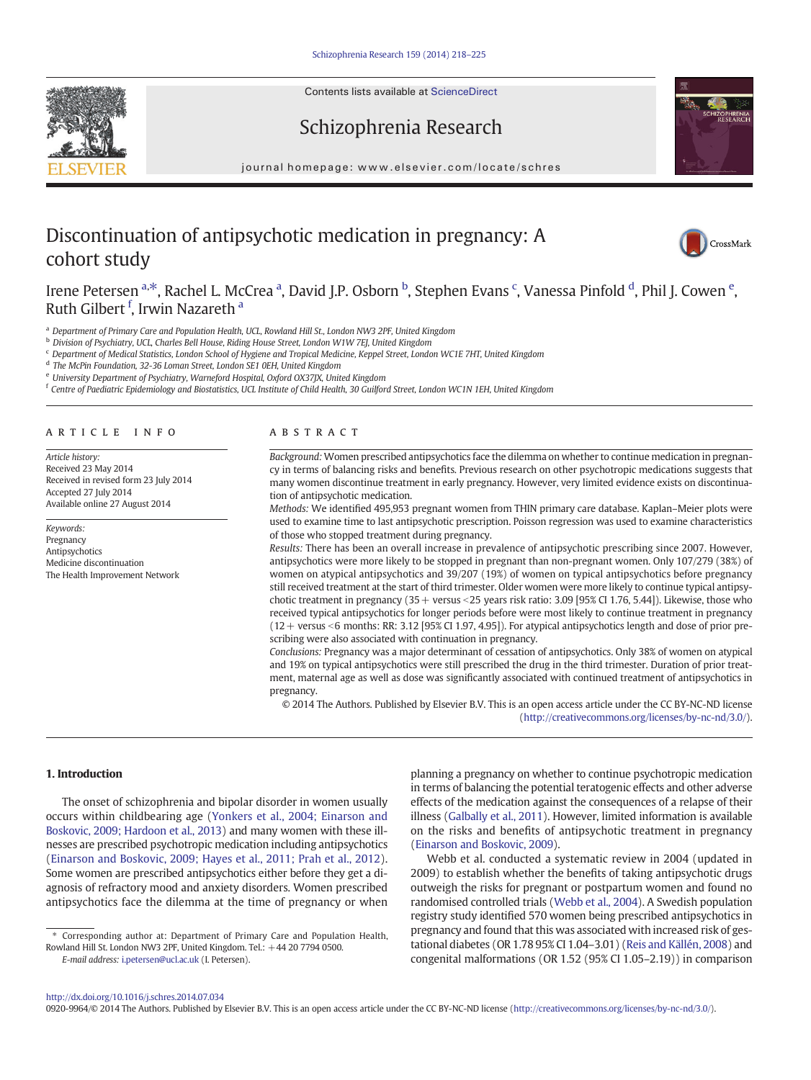Contents lists available at ScienceDirect





# Schizophrenia Research

journal homepage: www.elsevier.com/locate/schres

# Discontinuation of antipsychotic medication in pregnancy: A cohort study



Irene Petersen <sup>a,\*</sup>, Rachel L. McCrea <sup>a</sup>, David J.P. Osborn <sup>b</sup>, Stephen Evans <sup>c</sup>, Vanessa Pinfold <sup>d</sup>, Phil J. Cowen <sup>e</sup>, Ruth Gilbert<sup>f</sup>, Irwin Nazareth<sup>a</sup>

a Department of Primary Care and Population Health, UCL, Rowland Hill St., London NW3 2PF, United Kingdom

<sup>b</sup> Division of Psychiatry, UCL, Charles Bell House, Riding House Street, London W1W 7EJ, United Kingdom

<sup>c</sup> Department of Medical Statistics, London School of Hygiene and Tropical Medicine, Keppel Street, London WC1E 7HT, United Kingdom

<sup>d</sup> The McPin Foundation, 32-36 Loman Street, London SE1 0EH, United Kingdom

<sup>e</sup> University Department of Psychiatry, Warneford Hospital, Oxford OX37JX, United Kingdom

<sup>f</sup> Centre of Paediatric Epidemiology and Biostatistics, UCL Institute of Child Health, 30 Guilford Street, London WC1N 1EH, United Kingdom

### article info abstract

Article history: Received 23 May 2014 Received in revised form 23 July 2014 Accepted 27 July 2014 Available online 27 August 2014

Keywords: Pregnancy Antipsychotics Medicine discontinuation The Health Improvement Network

Background: Women prescribed antipsychotics face the dilemma on whether to continue medication in pregnancy in terms of balancing risks and benefits. Previous research on other psychotropic medications suggests that many women discontinue treatment in early pregnancy. However, very limited evidence exists on discontinuation of antipsychotic medication.

Methods: We identified 495,953 pregnant women from THIN primary care database. Kaplan–Meier plots were used to examine time to last antipsychotic prescription. Poisson regression was used to examine characteristics of those who stopped treatment during pregnancy.

Results: There has been an overall increase in prevalence of antipsychotic prescribing since 2007. However, antipsychotics were more likely to be stopped in pregnant than non-pregnant women. Only 107/279 (38%) of women on atypical antipsychotics and 39/207 (19%) of women on typical antipsychotics before pregnancy still received treatment at the start of third trimester. Older women were more likely to continue typical antipsychotic treatment in pregnancy  $(35 + \text{versus} < 25 \text{ years} \text{ risk ratio: } 3.09 \text{ [95% CI 1.76, 5.44]}).$  Likewise, those who received typical antipsychotics for longer periods before were most likely to continue treatment in pregnancy  $(12 + \text{versus} < 6 \text{ months}; \text{RR: } 3.12 \text{ [95% CI 1.97, 4.95]}).$  For atypical antipsychotics length and dose of prior prescribing were also associated with continuation in pregnancy.

Conclusions: Pregnancy was a major determinant of cessation of antipsychotics. Only 38% of women on atypical and 19% on typical antipsychotics were still prescribed the drug in the third trimester. Duration of prior treatment, maternal age as well as dose was significantly associated with continued treatment of antipsychotics in pregnancy.

© 2014 The Authors. Published by Elsevier B.V. This is an open access article under the CC BY-NC-ND license (<http://creativecommons.org/licenses/by-nc-nd/3.0/>).

### 1. Introduction

The onset of schizophrenia and bipolar disorder in women usually occurs within childbearing age ([Yonkers et al., 2004; Einarson and](#page-7-0) [Boskovic, 2009; Hardoon et al., 2013\)](#page-7-0) and many women with these illnesses are prescribed psychotropic medication including antipsychotics [\(Einarson and Boskovic, 2009; Hayes et al., 2011; Prah et al., 2012](#page-7-0)). Some women are prescribed antipsychotics either before they get a diagnosis of refractory mood and anxiety disorders. Women prescribed antipsychotics face the dilemma at the time of pregnancy or when

planning a pregnancy on whether to continue psychotropic medication in terms of balancing the potential teratogenic effects and other adverse effects of the medication against the consequences of a relapse of their illness [\(Galbally et al., 2011\)](#page-7-0). However, limited information is available on the risks and benefits of antipsychotic treatment in pregnancy [\(Einarson and Boskovic, 2009](#page-7-0)).

Webb et al. conducted a systematic review in 2004 (updated in 2009) to establish whether the benefits of taking antipsychotic drugs outweigh the risks for pregnant or postpartum women and found no randomised controlled trials [\(Webb et al., 2004](#page-7-0)). A Swedish population registry study identified 570 women being prescribed antipsychotics in pregnancy and found that this was associated with increased risk of gestational diabetes (OR 1.78 95% CI 1.04–3.01) [\(Reis and Källén, 2008](#page-7-0)) and congenital malformations (OR 1.52 (95% CI 1.05–2.19)) in comparison

0920-9964/© 2014 The Authors. Published by Elsevier B.V. This is an open access article under the CC BY-NC-ND license [\(http://creativecommons.org/licenses/by-nc-nd/3.0/\)](http://creativecommons.org/licenses/by-nc-nd/3.0/).

<sup>⁎</sup> Corresponding author at: Department of Primary Care and Population Health, Rowland Hill St. London NW3 2PF, United Kingdom. Tel.: +44 20 7794 0500.

E-mail address: [i.petersen@ucl.ac.uk](mailto:i.petersen@ucl.ac.uk) (I. Petersen).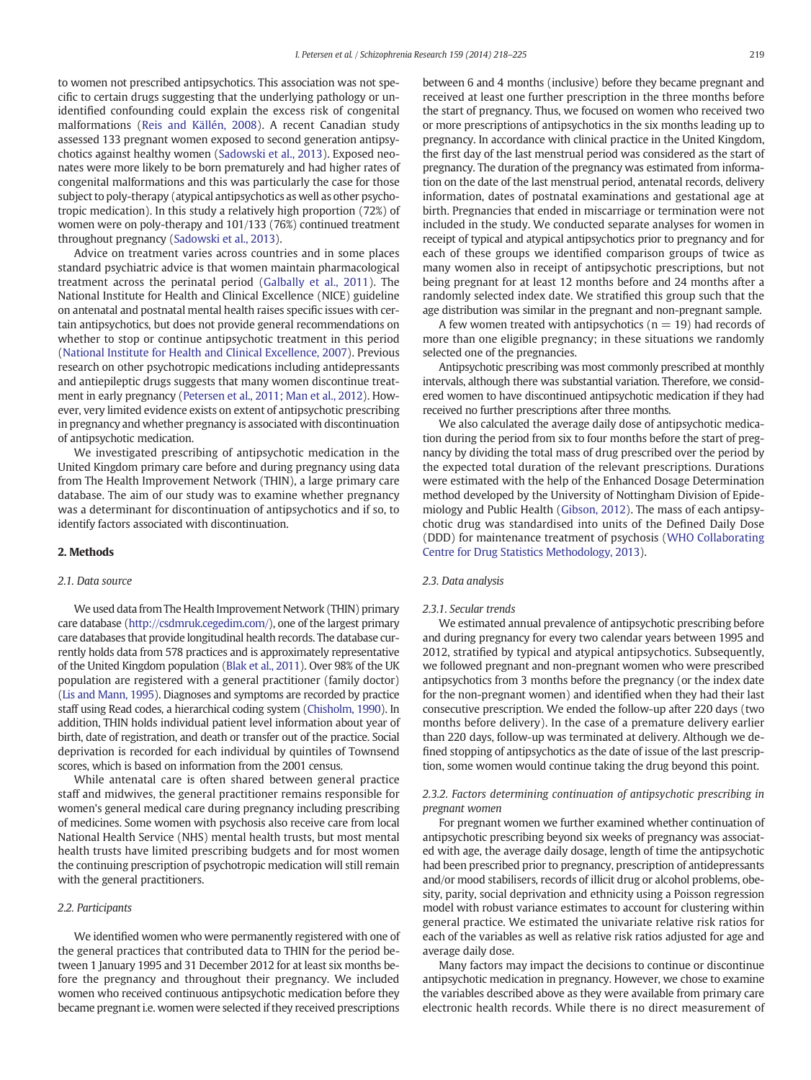<span id="page-1-0"></span>to women not prescribed antipsychotics. This association was not specific to certain drugs suggesting that the underlying pathology or unidentified confounding could explain the excess risk of congenital malformations [\(Reis and Källén, 2008\)](#page-7-0). A recent Canadian study assessed 133 pregnant women exposed to second generation antipsychotics against healthy women ([Sadowski et al., 2013\)](#page-7-0). Exposed neonates were more likely to be born prematurely and had higher rates of congenital malformations and this was particularly the case for those subject to poly-therapy (atypical antipsychotics as well as other psychotropic medication). In this study a relatively high proportion (72%) of women were on poly-therapy and 101/133 (76%) continued treatment throughout pregnancy ([Sadowski et al., 2013](#page-7-0)).

Advice on treatment varies across countries and in some places standard psychiatric advice is that women maintain pharmacological treatment across the perinatal period ([Galbally et al., 2011\)](#page-7-0). The National Institute for Health and Clinical Excellence (NICE) guideline on antenatal and postnatal mental health raises specific issues with certain antipsychotics, but does not provide general recommendations on whether to stop or continue antipsychotic treatment in this period [\(National Institute for Health and Clinical Excellence, 2007](#page-7-0)). Previous research on other psychotropic medications including antidepressants and antiepileptic drugs suggests that many women discontinue treatment in early pregnancy ([Petersen et al., 2011; Man et al., 2012](#page-7-0)). However, very limited evidence exists on extent of antipsychotic prescribing in pregnancy and whether pregnancy is associated with discontinuation of antipsychotic medication.

We investigated prescribing of antipsychotic medication in the United Kingdom primary care before and during pregnancy using data from The Health Improvement Network (THIN), a large primary care database. The aim of our study was to examine whether pregnancy was a determinant for discontinuation of antipsychotics and if so, to identify factors associated with discontinuation.

## 2. Methods

#### 2.1. Data source

We used data from The Health Improvement Network (THIN) primary care database (<http://csdmruk.cegedim.com/>), one of the largest primary care databases that provide longitudinal health records. The database currently holds data from 578 practices and is approximately representative of the United Kingdom population [\(Blak et al., 2011](#page-7-0)). Over 98% of the UK population are registered with a general practitioner (family doctor) [\(Lis and Mann, 1995](#page-7-0)). Diagnoses and symptoms are recorded by practice staff using Read codes, a hierarchical coding system ([Chisholm, 1990\)](#page-7-0). In addition, THIN holds individual patient level information about year of birth, date of registration, and death or transfer out of the practice. Social deprivation is recorded for each individual by quintiles of Townsend scores, which is based on information from the 2001 census.

While antenatal care is often shared between general practice staff and midwives, the general practitioner remains responsible for women's general medical care during pregnancy including prescribing of medicines. Some women with psychosis also receive care from local National Health Service (NHS) mental health trusts, but most mental health trusts have limited prescribing budgets and for most women the continuing prescription of psychotropic medication will still remain with the general practitioners.

# 2.2. Participants

We identified women who were permanently registered with one of the general practices that contributed data to THIN for the period between 1 January 1995 and 31 December 2012 for at least six months before the pregnancy and throughout their pregnancy. We included women who received continuous antipsychotic medication before they became pregnant i.e. women were selected if they received prescriptions

between 6 and 4 months (inclusive) before they became pregnant and received at least one further prescription in the three months before the start of pregnancy. Thus, we focused on women who received two or more prescriptions of antipsychotics in the six months leading up to pregnancy. In accordance with clinical practice in the United Kingdom, the first day of the last menstrual period was considered as the start of pregnancy. The duration of the pregnancy was estimated from information on the date of the last menstrual period, antenatal records, delivery information, dates of postnatal examinations and gestational age at birth. Pregnancies that ended in miscarriage or termination were not included in the study. We conducted separate analyses for women in receipt of typical and atypical antipsychotics prior to pregnancy and for each of these groups we identified comparison groups of twice as many women also in receipt of antipsychotic prescriptions, but not being pregnant for at least 12 months before and 24 months after a randomly selected index date. We stratified this group such that the age distribution was similar in the pregnant and non-pregnant sample.

A few women treated with antipsychotics ( $n = 19$ ) had records of more than one eligible pregnancy; in these situations we randomly selected one of the pregnancies.

Antipsychotic prescribing was most commonly prescribed at monthly intervals, although there was substantial variation. Therefore, we considered women to have discontinued antipsychotic medication if they had received no further prescriptions after three months.

We also calculated the average daily dose of antipsychotic medication during the period from six to four months before the start of pregnancy by dividing the total mass of drug prescribed over the period by the expected total duration of the relevant prescriptions. Durations were estimated with the help of the Enhanced Dosage Determination method developed by the University of Nottingham Division of Epidemiology and Public Health [\(Gibson, 2012\)](#page-7-0). The mass of each antipsychotic drug was standardised into units of the Defined Daily Dose (DDD) for maintenance treatment of psychosis ([WHO Collaborating](#page-7-0) [Centre for Drug Statistics Methodology, 2013\)](#page-7-0).

# 2.3. Data analysis

#### 2.3.1. Secular trends

We estimated annual prevalence of antipsychotic prescribing before and during pregnancy for every two calendar years between 1995 and 2012, stratified by typical and atypical antipsychotics. Subsequently, we followed pregnant and non-pregnant women who were prescribed antipsychotics from 3 months before the pregnancy (or the index date for the non-pregnant women) and identified when they had their last consecutive prescription. We ended the follow-up after 220 days (two months before delivery). In the case of a premature delivery earlier than 220 days, follow-up was terminated at delivery. Although we defined stopping of antipsychotics as the date of issue of the last prescription, some women would continue taking the drug beyond this point.

# 2.3.2. Factors determining continuation of antipsychotic prescribing in pregnant women

For pregnant women we further examined whether continuation of antipsychotic prescribing beyond six weeks of pregnancy was associated with age, the average daily dosage, length of time the antipsychotic had been prescribed prior to pregnancy, prescription of antidepressants and/or mood stabilisers, records of illicit drug or alcohol problems, obesity, parity, social deprivation and ethnicity using a Poisson regression model with robust variance estimates to account for clustering within general practice. We estimated the univariate relative risk ratios for each of the variables as well as relative risk ratios adjusted for age and average daily dose.

Many factors may impact the decisions to continue or discontinue antipsychotic medication in pregnancy. However, we chose to examine the variables described above as they were available from primary care electronic health records. While there is no direct measurement of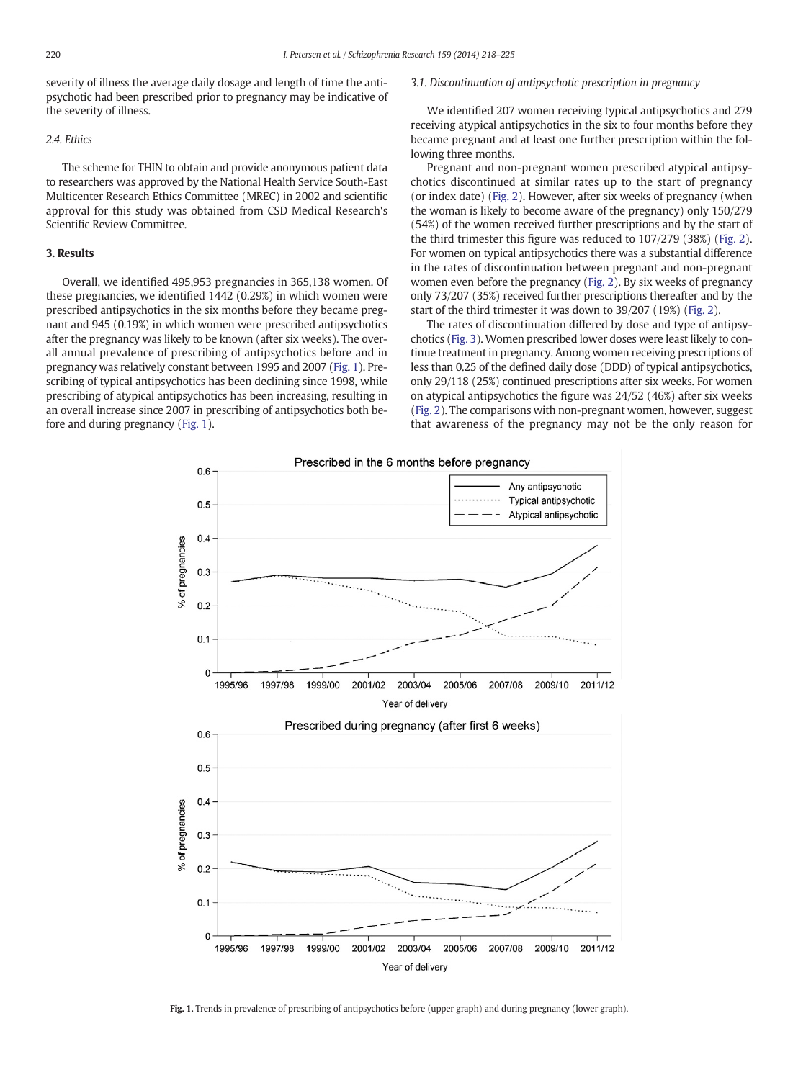severity of illness the average daily dosage and length of time the antipsychotic had been prescribed prior to pregnancy may be indicative of the severity of illness.

# 2.4. Ethics

The scheme for THIN to obtain and provide anonymous patient data to researchers was approved by the National Health Service South-East Multicenter Research Ethics Committee (MREC) in 2002 and scientific approval for this study was obtained from CSD Medical Research's Scientific Review Committee.

# 3. Results

Overall, we identified 495,953 pregnancies in 365,138 women. Of these pregnancies, we identified 1442 (0.29%) in which women were prescribed antipsychotics in the six months before they became pregnant and 945 (0.19%) in which women were prescribed antipsychotics after the pregnancy was likely to be known (after six weeks). The overall annual prevalence of prescribing of antipsychotics before and in pregnancy was relatively constant between 1995 and 2007 (Fig. 1). Prescribing of typical antipsychotics has been declining since 1998, while prescribing of atypical antipsychotics has been increasing, resulting in an overall increase since 2007 in prescribing of antipsychotics both before and during pregnancy (Fig. 1).

# 3.1. Discontinuation of antipsychotic prescription in pregnancy

We identified 207 women receiving typical antipsychotics and 279 receiving atypical antipsychotics in the six to four months before they became pregnant and at least one further prescription within the following three months.

Pregnant and non-pregnant women prescribed atypical antipsychotics discontinued at similar rates up to the start of pregnancy (or index date) ([Fig. 2\)](#page-3-0). However, after six weeks of pregnancy (when the woman is likely to become aware of the pregnancy) only 150/279 (54%) of the women received further prescriptions and by the start of the third trimester this figure was reduced to 107/279 (38%) [\(Fig. 2](#page-3-0)). For women on typical antipsychotics there was a substantial difference in the rates of discontinuation between pregnant and non-pregnant women even before the pregnancy [\(Fig. 2\)](#page-3-0). By six weeks of pregnancy only 73/207 (35%) received further prescriptions thereafter and by the start of the third trimester it was down to 39/207 (19%) ([Fig. 2](#page-3-0)).

The rates of discontinuation differed by dose and type of antipsychotics ([Fig. 3\)](#page-4-0). Women prescribed lower doses were least likely to continue treatment in pregnancy. Among women receiving prescriptions of less than 0.25 of the defined daily dose (DDD) of typical antipsychotics, only 29/118 (25%) continued prescriptions after six weeks. For women on atypical antipsychotics the figure was 24/52 (46%) after six weeks [\(Fig. 2](#page-3-0)). The comparisons with non-pregnant women, however, suggest that awareness of the pregnancy may not be the only reason for



Fig. 1. Trends in prevalence of prescribing of antipsychotics before (upper graph) and during pregnancy (lower graph).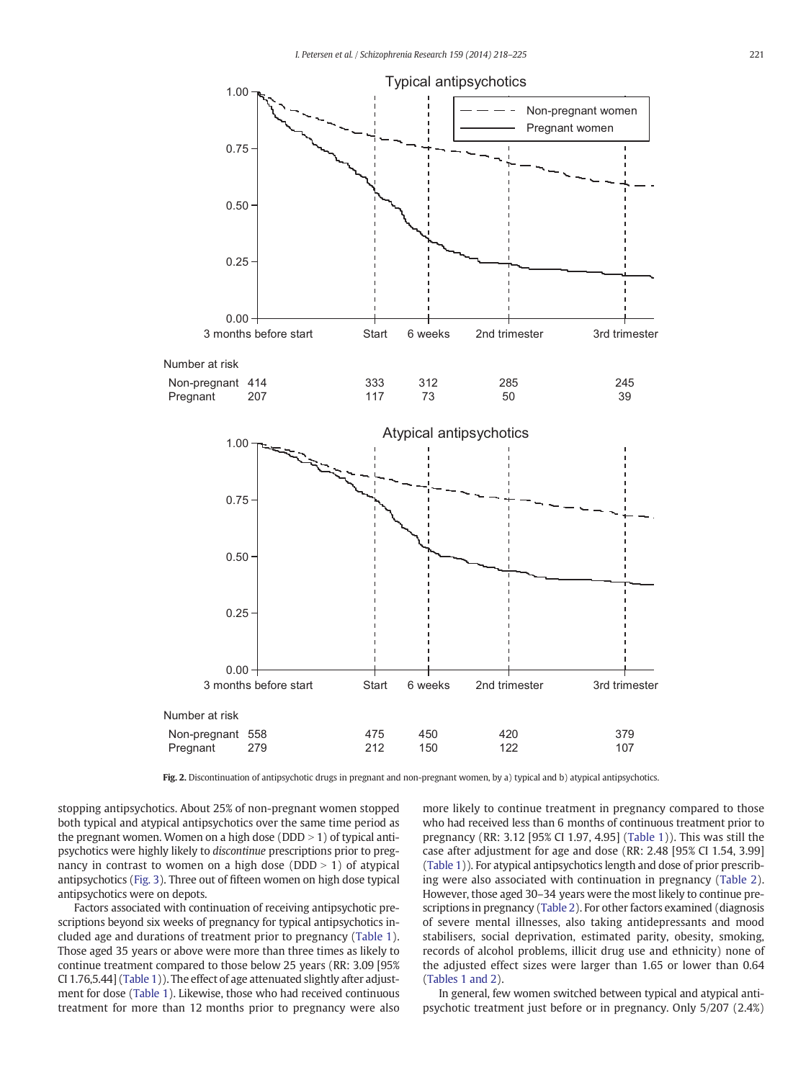<span id="page-3-0"></span>

Fig. 2. Discontinuation of antipsychotic drugs in pregnant and non-pregnant women, by a) typical and b) atypical antipsychotics.

stopping antipsychotics. About 25% of non-pregnant women stopped both typical and atypical antipsychotics over the same time period as the pregnant women. Women on a high dose ( $DD$  > 1) of typical antipsychotics were highly likely to discontinue prescriptions prior to pregnancy in contrast to women on a high dose ( $DDD > 1$ ) of atypical antipsychotics ([Fig. 3](#page-4-0)). Three out of fifteen women on high dose typical antipsychotics were on depots.

Factors associated with continuation of receiving antipsychotic prescriptions beyond six weeks of pregnancy for typical antipsychotics included age and durations of treatment prior to pregnancy ([Table 1](#page-5-0)). Those aged 35 years or above were more than three times as likely to continue treatment compared to those below 25 years (RR: 3.09 [95% CI 1.76,5.44] ([Table 1\)](#page-5-0)). The effect of age attenuated slightly after adjustment for dose [\(Table 1\)](#page-5-0). Likewise, those who had received continuous treatment for more than 12 months prior to pregnancy were also

more likely to continue treatment in pregnancy compared to those who had received less than 6 months of continuous treatment prior to pregnancy (RR: 3.12 [95% CI 1.97, 4.95] [\(Table 1](#page-5-0))). This was still the case after adjustment for age and dose (RR: 2.48 [95% CI 1.54, 3.99] [\(Table 1](#page-5-0))). For atypical antipsychotics length and dose of prior prescribing were also associated with continuation in pregnancy ([Table 2](#page-6-0)). However, those aged 30–34 years were the most likely to continue prescriptions in pregnancy [\(Table 2](#page-6-0)). For other factors examined (diagnosis of severe mental illnesses, also taking antidepressants and mood stabilisers, social deprivation, estimated parity, obesity, smoking, records of alcohol problems, illicit drug use and ethnicity) none of the adjusted effect sizes were larger than 1.65 or lower than 0.64 [\(Tables 1 and 2\)](#page-5-0).

In general, few women switched between typical and atypical antipsychotic treatment just before or in pregnancy. Only 5/207 (2.4%)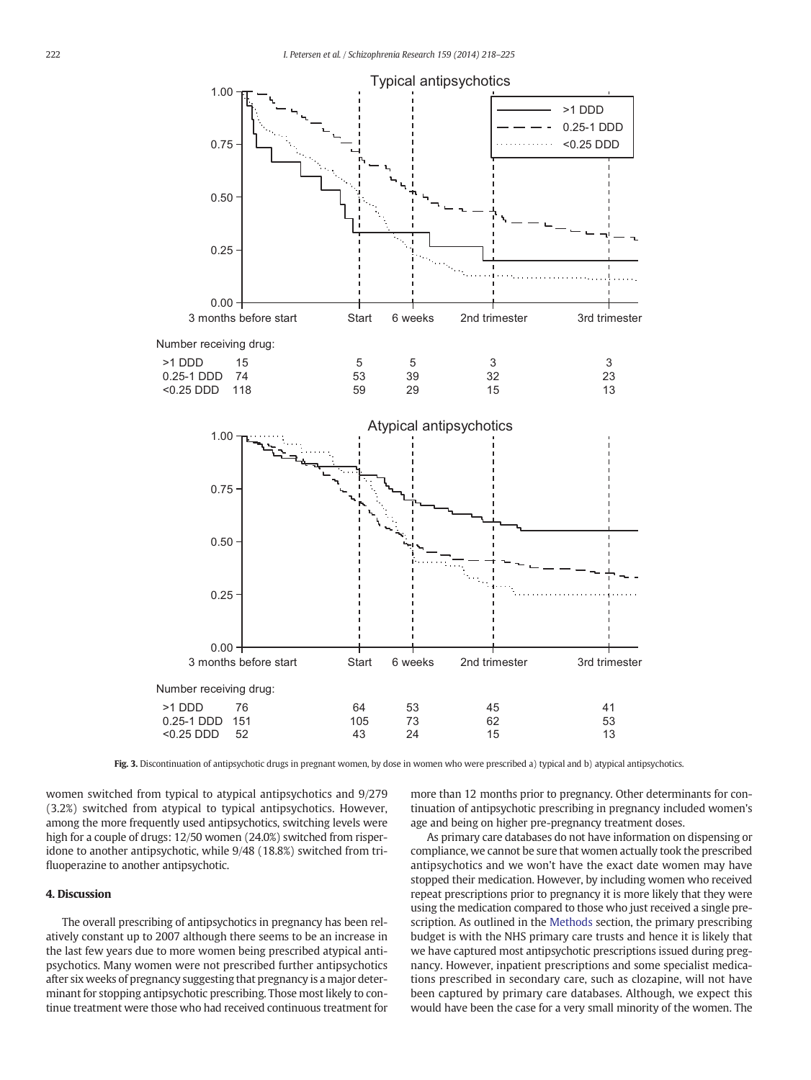<span id="page-4-0"></span>

Fig. 3. Discontinuation of antipsychotic drugs in pregnant women, by dose in women who were prescribed a) typical and b) atypical antipsychotics.

women switched from typical to atypical antipsychotics and 9/279 (3.2%) switched from atypical to typical antipsychotics. However, among the more frequently used antipsychotics, switching levels were high for a couple of drugs: 12/50 women (24.0%) switched from risperidone to another antipsychotic, while 9/48 (18.8%) switched from trifluoperazine to another antipsychotic.

# 4. Discussion

The overall prescribing of antipsychotics in pregnancy has been relatively constant up to 2007 although there seems to be an increase in the last few years due to more women being prescribed atypical antipsychotics. Many women were not prescribed further antipsychotics after six weeks of pregnancy suggesting that pregnancy is a major determinant for stopping antipsychotic prescribing. Those most likely to continue treatment were those who had received continuous treatment for more than 12 months prior to pregnancy. Other determinants for continuation of antipsychotic prescribing in pregnancy included women's age and being on higher pre-pregnancy treatment doses.

As primary care databases do not have information on dispensing or compliance, we cannot be sure that women actually took the prescribed antipsychotics and we won't have the exact date women may have stopped their medication. However, by including women who received repeat prescriptions prior to pregnancy it is more likely that they were using the medication compared to those who just received a single prescription. As outlined in the [Methods](#page-1-0) section, the primary prescribing budget is with the NHS primary care trusts and hence it is likely that we have captured most antipsychotic prescriptions issued during pregnancy. However, inpatient prescriptions and some specialist medications prescribed in secondary care, such as clozapine, will not have been captured by primary care databases. Although, we expect this would have been the case for a very small minority of the women. The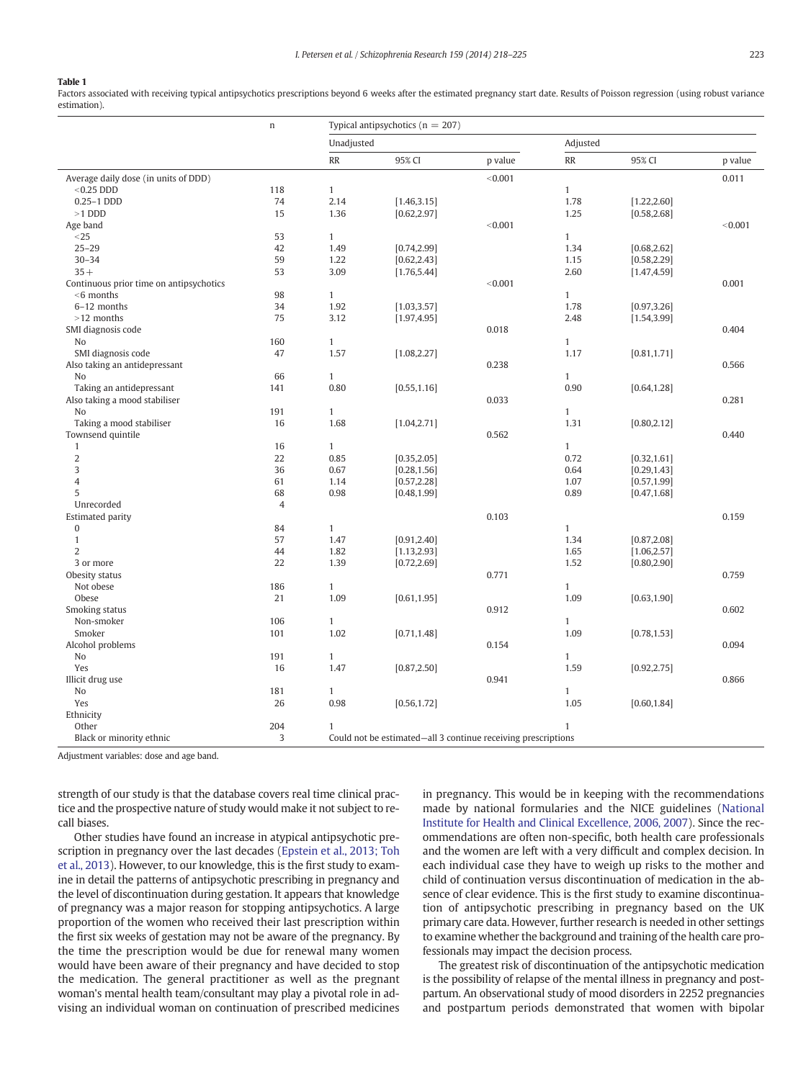#### <span id="page-5-0"></span>Table 1

Factors associated with receiving typical antipsychotics prescriptions beyond 6 weeks after the estimated pregnancy start date. Results of Poisson regression (using robust variance estimation).

|                                         | $\mathbf n$    | Typical antipsychotics ( $n = 207$ ) |                                                               |         |              |              |         |  |  |
|-----------------------------------------|----------------|--------------------------------------|---------------------------------------------------------------|---------|--------------|--------------|---------|--|--|
|                                         |                | Unadjusted                           |                                                               |         | Adjusted     |              |         |  |  |
|                                         |                | <b>RR</b>                            | 95% CI                                                        | p value | <b>RR</b>    | 95% CI       | p value |  |  |
| Average daily dose (in units of DDD)    |                |                                      |                                                               | < 0.001 |              |              | 0.011   |  |  |
| $<$ 0.25 DDD                            | 118            | $\mathbf{1}$                         |                                                               |         | $\mathbf{1}$ |              |         |  |  |
| $0.25-1$ DDD                            | 74             | 2.14                                 | [1.46, 3.15]                                                  |         | 1.78         | [1.22, 2.60] |         |  |  |
| $>1$ DDD                                | 15             | 1.36                                 | [0.62, 2.97]                                                  |         | 1.25         | [0.58, 2.68] |         |  |  |
| Age band                                |                |                                      |                                                               | < 0.001 |              |              | < 0.001 |  |  |
| $<$ 25                                  | 53             | $\mathbf{1}$                         |                                                               |         | $\mathbf{1}$ |              |         |  |  |
| $25 - 29$                               | 42             | 1.49                                 | [0.74, 2.99]                                                  |         | 1.34         | [0.68, 2.62] |         |  |  |
| $30 - 34$                               | 59             | 1.22                                 | [0.62, 2.43]                                                  |         | 1.15         | [0.58, 2.29] |         |  |  |
| $35 +$                                  | 53             | 3.09                                 | [1.76, 5.44]                                                  |         | 2.60         | [1.47, 4.59] |         |  |  |
| Continuous prior time on antipsychotics |                |                                      |                                                               | < 0.001 |              |              | 0.001   |  |  |
| $<$ 6 months                            | 98             | $\mathbf{1}$                         |                                                               |         | $\mathbf{1}$ |              |         |  |  |
| 6-12 months                             | 34             | 1.92                                 | [1.03, 3.57]                                                  |         | 1.78         | [0.97, 3.26] |         |  |  |
| $>12$ months                            | 75             | 3.12                                 | [1.97, 4.95]                                                  |         | 2.48         | [1.54, 3.99] |         |  |  |
| SMI diagnosis code                      |                |                                      |                                                               | 0.018   |              |              | 0.404   |  |  |
| No                                      | 160            | $\mathbf{1}$                         |                                                               |         | $\mathbf{1}$ |              |         |  |  |
| SMI diagnosis code                      | 47             | 1.57                                 | [1.08, 2.27]                                                  |         | 1.17         | [0.81, 1.71] |         |  |  |
| Also taking an antidepressant           |                |                                      |                                                               | 0.238   |              |              | 0.566   |  |  |
| No                                      | 66             | $\mathbf{1}$                         |                                                               |         | $\mathbf{1}$ |              |         |  |  |
| Taking an antidepressant                | 141            | 0.80                                 | [0.55, 1.16]                                                  |         | 0.90         | [0.64, 1.28] |         |  |  |
| Also taking a mood stabiliser           |                |                                      |                                                               | 0.033   |              |              | 0.281   |  |  |
| No                                      | 191            | $\mathbf{1}$                         |                                                               |         | $\mathbf{1}$ |              |         |  |  |
| Taking a mood stabiliser                | 16             | 1.68                                 | [1.04, 2.71]                                                  |         | 1.31         | [0.80, 2.12] |         |  |  |
| Townsend quintile                       |                |                                      |                                                               | 0.562   |              |              | 0.440   |  |  |
| $\mathbf{1}$                            | 16             | $\mathbf{1}$                         |                                                               |         | $\mathbf{1}$ |              |         |  |  |
| $\overline{2}$                          | 22             | 0.85                                 | [0.35, 2.05]                                                  |         | 0.72         | [0.32, 1.61] |         |  |  |
| $\overline{3}$                          | 36             | 0.67                                 | [0.28, 1.56]                                                  |         | 0.64         | [0.29, 1.43] |         |  |  |
| $\overline{4}$                          | 61             | 1.14                                 | [0.57, 2.28]                                                  |         | 1.07         | [0.57, 1.99] |         |  |  |
| 5                                       | 68             | 0.98                                 | [0.48, 1.99]                                                  |         | 0.89         | [0.47, 1.68] |         |  |  |
| Unrecorded                              | $\overline{4}$ |                                      |                                                               |         |              |              |         |  |  |
| <b>Estimated parity</b>                 |                |                                      |                                                               | 0.103   |              |              | 0.159   |  |  |
| $\boldsymbol{0}$                        | 84             | $\mathbf{1}$                         |                                                               |         | $\mathbf{1}$ |              |         |  |  |
| $\mathbf{1}$                            | 57             | 1.47                                 | [0.91, 2.40]                                                  |         | 1.34         | [0.87, 2.08] |         |  |  |
| $\overline{2}$                          | 44             | 1.82                                 | [1.13, 2.93]                                                  |         | 1.65         | [1.06, 2.57] |         |  |  |
| 3 or more                               | 22             | 1.39                                 | [0.72, 2.69]                                                  |         | 1.52         | [0.80, 2.90] |         |  |  |
| Obesity status                          |                |                                      |                                                               | 0.771   |              |              | 0.759   |  |  |
| Not obese                               | 186            | $\mathbf{1}$                         |                                                               |         | $\mathbf{1}$ |              |         |  |  |
| Obese                                   | 21             | 1.09                                 | [0.61, 1.95]                                                  |         | 1.09         | [0.63, 1.90] |         |  |  |
| Smoking status                          |                |                                      |                                                               | 0.912   |              |              | 0.602   |  |  |
| Non-smoker                              | 106            | $\mathbf{1}$                         |                                                               |         | $\mathbf{1}$ |              |         |  |  |
| Smoker                                  | 101            | 1.02                                 | [0.71, 1.48]                                                  |         | 1.09         | [0.78, 1.53] |         |  |  |
| Alcohol problems                        |                |                                      |                                                               | 0.154   |              |              | 0.094   |  |  |
| No                                      | 191            | $\mathbf{1}$                         |                                                               |         | $\mathbf{1}$ |              |         |  |  |
| Yes                                     | 16             | 1.47                                 | [0.87, 2.50]                                                  |         | 1.59         | [0.92, 2.75] |         |  |  |
| Illicit drug use                        |                |                                      |                                                               | 0.941   |              |              | 0.866   |  |  |
| No                                      | 181            | $\mathbf{1}$                         |                                                               |         | 1            |              |         |  |  |
| Yes                                     | 26             | 0.98                                 | [0.56, 1.72]                                                  |         | 1.05         | [0.60, 1.84] |         |  |  |
| Ethnicity                               |                |                                      |                                                               |         |              |              |         |  |  |
| Other                                   | 204            | $\mathbf{1}$                         |                                                               |         | 1            |              |         |  |  |
| Black or minority ethnic                | 3              |                                      | Could not be estimated—all 3 continue receiving prescriptions |         |              |              |         |  |  |
|                                         |                |                                      |                                                               |         |              |              |         |  |  |

Adjustment variables: dose and age band.

strength of our study is that the database covers real time clinical practice and the prospective nature of study would make it not subject to recall biases.

Other studies have found an increase in atypical antipsychotic prescription in pregnancy over the last decades [\(Epstein et al., 2013; Toh](#page-7-0) [et al., 2013](#page-7-0)). However, to our knowledge, this is the first study to examine in detail the patterns of antipsychotic prescribing in pregnancy and the level of discontinuation during gestation. It appears that knowledge of pregnancy was a major reason for stopping antipsychotics. A large proportion of the women who received their last prescription within the first six weeks of gestation may not be aware of the pregnancy. By the time the prescription would be due for renewal many women would have been aware of their pregnancy and have decided to stop the medication. The general practitioner as well as the pregnant woman's mental health team/consultant may play a pivotal role in advising an individual woman on continuation of prescribed medicines in pregnancy. This would be in keeping with the recommendations made by national formularies and the NICE guidelines [\(National](#page-7-0) [Institute for Health and Clinical Excellence, 2006, 2007](#page-7-0)). Since the recommendations are often non-specific, both health care professionals and the women are left with a very difficult and complex decision. In each individual case they have to weigh up risks to the mother and child of continuation versus discontinuation of medication in the absence of clear evidence. This is the first study to examine discontinuation of antipsychotic prescribing in pregnancy based on the UK primary care data. However, further research is needed in other settings to examine whether the background and training of the health care professionals may impact the decision process.

The greatest risk of discontinuation of the antipsychotic medication is the possibility of relapse of the mental illness in pregnancy and postpartum. An observational study of mood disorders in 2252 pregnancies and postpartum periods demonstrated that women with bipolar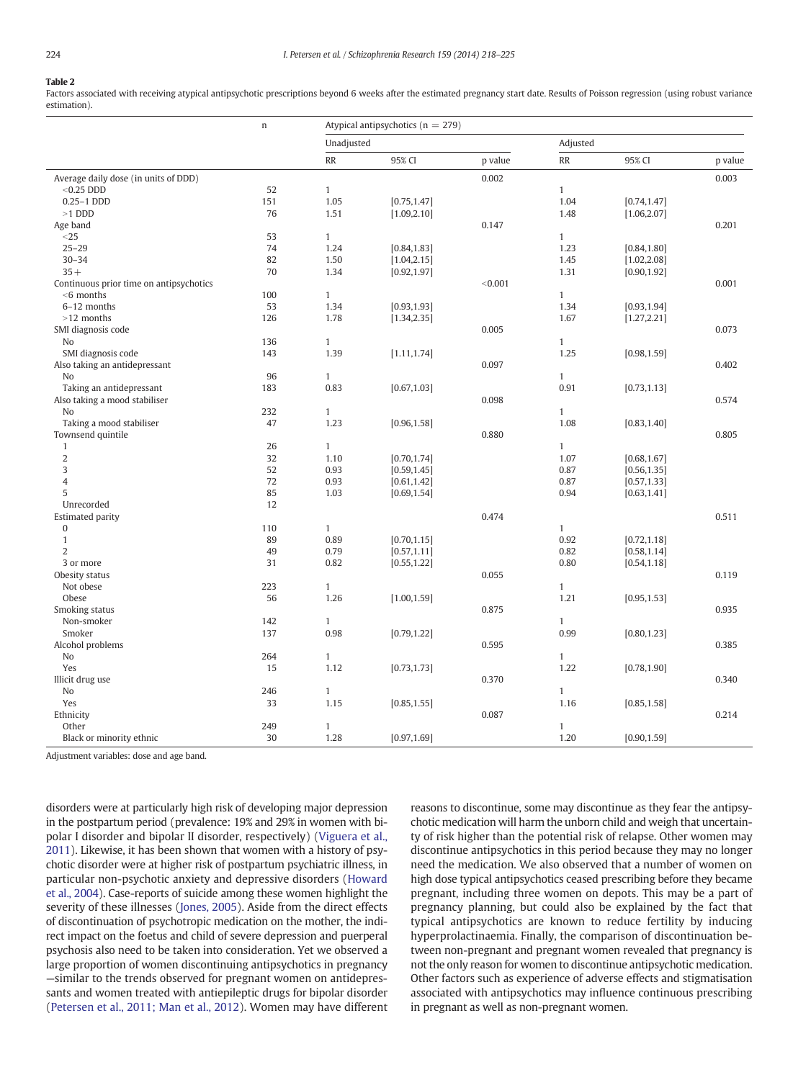# <span id="page-6-0"></span>Table 2

Factors associated with receiving atypical antipsychotic prescriptions beyond 6 weeks after the estimated pregnancy start date. Results of Poisson regression (using robust variance estimation).

|                                         | $\mathbf n$ | Atypical antipsychotics ( $n = 279$ ) |              |         |              |              |         |  |  |
|-----------------------------------------|-------------|---------------------------------------|--------------|---------|--------------|--------------|---------|--|--|
|                                         |             | Unadjusted                            |              |         | Adjusted     |              |         |  |  |
|                                         |             | RR                                    | 95% CI       | p value | RR           | 95% CI       | p value |  |  |
| Average daily dose (in units of DDD)    |             |                                       |              | 0.002   |              |              | 0.003   |  |  |
| $<$ 0.25 DDD                            | 52          | $\mathbf{1}$                          |              |         | $\mathbf{1}$ |              |         |  |  |
| 0.25-1 DDD                              | 151         | 1.05                                  | [0.75, 1.47] |         | 1.04         | [0.74, 1.47] |         |  |  |
| $>1$ DDD                                | 76          | 1.51                                  | [1.09, 2.10] |         | 1.48         | [1.06, 2.07] |         |  |  |
| Age band                                |             |                                       |              | 0.147   |              |              | 0.201   |  |  |
| $<$ 25                                  | 53          | $\mathbf{1}$                          |              |         | $\mathbf{1}$ |              |         |  |  |
| $25 - 29$                               | 74          | 1.24                                  | [0.84, 1.83] |         | 1.23         | [0.84, 1.80] |         |  |  |
| $30 - 34$                               | 82          | 1.50                                  | [1.04, 2.15] |         | 1.45         | [1.02, 2.08] |         |  |  |
| $35 +$                                  | 70          | 1.34                                  | [0.92, 1.97] |         | 1.31         | [0.90, 1.92] |         |  |  |
| Continuous prior time on antipsychotics |             |                                       |              | < 0.001 |              |              | 0.001   |  |  |
| $<$ 6 months                            | 100         | $\mathbf{1}$                          |              |         | $\mathbf{1}$ |              |         |  |  |
| 6-12 months                             | 53          | 1.34                                  | [0.93, 1.93] |         | 1.34         | [0.93, 1.94] |         |  |  |
| $>12$ months                            | 126         | 1.78                                  | [1.34, 2.35] |         | 1.67         | [1.27, 2.21] |         |  |  |
| SMI diagnosis code                      |             |                                       |              | 0.005   |              |              | 0.073   |  |  |
| No                                      | 136         | $\mathbf{1}$                          |              |         | $\mathbf{1}$ |              |         |  |  |
| SMI diagnosis code                      | 143         | 1.39                                  | [1.11, 1.74] |         | 1.25         | [0.98, 1.59] |         |  |  |
| Also taking an antidepressant           |             |                                       |              | 0.097   |              |              | 0.402   |  |  |
| No                                      | 96          | $\mathbf{1}$                          |              |         | $\mathbf{1}$ |              |         |  |  |
| Taking an antidepressant                | 183         | 0.83                                  | [0.67, 1.03] |         | 0.91         | [0.73, 1.13] |         |  |  |
| Also taking a mood stabiliser           |             |                                       |              | 0.098   |              |              | 0.574   |  |  |
| No                                      | 232         | $\mathbf{1}$                          |              |         | $\mathbf{1}$ |              |         |  |  |
| Taking a mood stabiliser                | 47          | 1.23                                  | [0.96, 1.58] |         | 1.08         | [0.83, 1.40] |         |  |  |
| Townsend quintile                       |             |                                       |              | 0.880   |              |              | 0.805   |  |  |
| $\mathbf{1}$                            | 26          | $\mathbf{1}$                          |              |         | $\mathbf{1}$ |              |         |  |  |
| $\sqrt{2}$                              | 32          | 1.10                                  | [0.70, 1.74] |         | 1.07         | [0.68, 1.67] |         |  |  |
| 3                                       | 52          | 0.93                                  | [0.59, 1.45] |         | 0.87         | [0.56, 1.35] |         |  |  |
| $\overline{4}$                          | 72          | 0.93                                  | [0.61, 1.42] |         | 0.87         | [0.57, 1.33] |         |  |  |
| 5                                       | 85          | 1.03                                  | [0.69, 1.54] |         | 0.94         | [0.63, 1.41] |         |  |  |
| Unrecorded                              | 12          |                                       |              |         |              |              |         |  |  |
| <b>Estimated parity</b>                 |             |                                       |              | 0.474   |              |              | 0.511   |  |  |
| $\bf{0}$                                | 110         | $\mathbf{1}$                          |              |         | $\mathbf{1}$ |              |         |  |  |
| $\mathbf{1}$                            | 89          | 0.89                                  | [0.70, 1.15] |         | 0.92         | [0.72, 1.18] |         |  |  |
| $\overline{2}$                          | 49          | 0.79                                  | [0.57, 1.11] |         | 0.82         | [0.58, 1.14] |         |  |  |
| 3 or more                               | 31          | 0.82                                  |              |         | 0.80         |              |         |  |  |
| Obesity status                          |             |                                       | [0.55, 1.22] | 0.055   |              | [0.54, 1.18] | 0.119   |  |  |
| Not obese                               | 223         | $\mathbf{1}$                          |              |         | $\mathbf{1}$ |              |         |  |  |
| Obese                                   | 56          | 1.26                                  |              |         | 1.21         |              |         |  |  |
|                                         |             |                                       | [1.00, 1.59] | 0.875   |              | [0.95, 1.53] | 0.935   |  |  |
| Smoking status<br>Non-smoker            |             | $\mathbf{1}$                          |              |         | $\mathbf{1}$ |              |         |  |  |
|                                         | 142         |                                       |              |         |              |              |         |  |  |
| Smoker                                  | 137         | 0.98                                  | [0.79, 1.22] |         | 0.99         | [0.80, 1.23] |         |  |  |
| Alcohol problems                        |             |                                       |              | 0.595   |              |              | 0.385   |  |  |
| No                                      | 264         | $\mathbf{1}$                          |              |         | $\mathbf{1}$ |              |         |  |  |
| Yes                                     | 15          | 1.12                                  | [0.73, 1.73] |         | 1.22         | [0.78, 1.90] |         |  |  |
| Illicit drug use                        |             |                                       |              | 0.370   |              |              | 0.340   |  |  |
| No                                      | 246         | $\mathbf{1}$                          |              |         | $\mathbf{1}$ |              |         |  |  |
| Yes                                     | 33          | 1.15                                  | [0.85, 1.55] |         | 1.16         | [0.85, 1.58] |         |  |  |
| Ethnicity                               |             |                                       |              | 0.087   |              |              | 0.214   |  |  |
| Other                                   | 249         | $\mathbf{1}$                          |              |         | $\mathbf{1}$ |              |         |  |  |
| Black or minority ethnic                | 30          | 1.28                                  | [0.97, 1.69] |         | 1.20         | [0.90, 1.59] |         |  |  |

Adjustment variables: dose and age band.

disorders were at particularly high risk of developing major depression in the postpartum period (prevalence: 19% and 29% in women with bipolar I disorder and bipolar II disorder, respectively) [\(Viguera et al.,](#page-7-0) [2011\)](#page-7-0). Likewise, it has been shown that women with a history of psychotic disorder were at higher risk of postpartum psychiatric illness, in particular non-psychotic anxiety and depressive disorders [\(Howard](#page-7-0) [et al., 2004](#page-7-0)). Case-reports of suicide among these women highlight the severity of these illnesses [\(Jones, 2005](#page-7-0)). Aside from the direct effects of discontinuation of psychotropic medication on the mother, the indirect impact on the foetus and child of severe depression and puerperal psychosis also need to be taken into consideration. Yet we observed a large proportion of women discontinuing antipsychotics in pregnancy —similar to the trends observed for pregnant women on antidepressants and women treated with antiepileptic drugs for bipolar disorder [\(Petersen et al., 2011; Man et al., 2012\)](#page-7-0). Women may have different reasons to discontinue, some may discontinue as they fear the antipsychotic medication will harm the unborn child and weigh that uncertainty of risk higher than the potential risk of relapse. Other women may discontinue antipsychotics in this period because they may no longer need the medication. We also observed that a number of women on high dose typical antipsychotics ceased prescribing before they became pregnant, including three women on depots. This may be a part of pregnancy planning, but could also be explained by the fact that typical antipsychotics are known to reduce fertility by inducing hyperprolactinaemia. Finally, the comparison of discontinuation between non-pregnant and pregnant women revealed that pregnancy is not the only reason for women to discontinue antipsychotic medication. Other factors such as experience of adverse effects and stigmatisation associated with antipsychotics may influence continuous prescribing in pregnant as well as non-pregnant women.